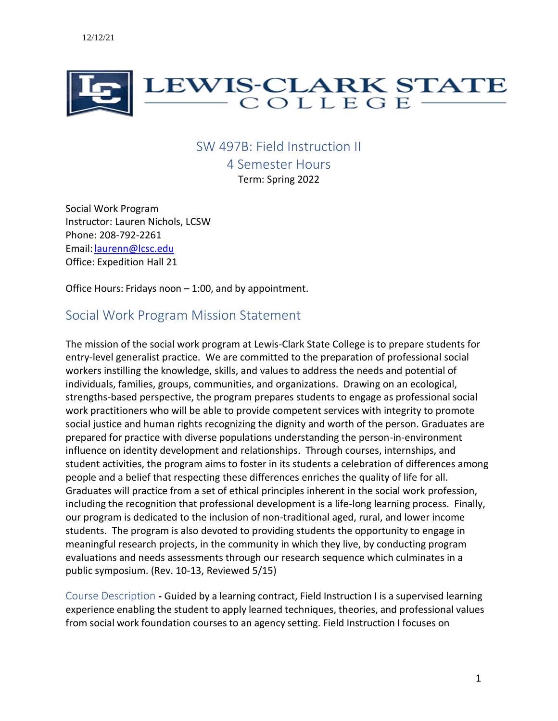

# SW 497B: Field Instruction II

4 Semester Hours Term: Spring 2022

Social Work Program Instructor: Lauren Nichols, LCSW Phone: 208-792-2261 Email: [laurenn@lcsc.edu](mailto:laurenn@lcsc.edu) Office: Expedition Hall 21

Office Hours: Fridays noon – 1:00, and by appointment.

# Social Work Program Mission Statement

The mission of the social work program at Lewis-Clark State College is to prepare students for entry-level generalist practice. We are committed to the preparation of professional social workers instilling the knowledge, skills, and values to address the needs and potential of individuals, families, groups, communities, and organizations. Drawing on an ecological, strengths-based perspective, the program prepares students to engage as professional social work practitioners who will be able to provide competent services with integrity to promote social justice and human rights recognizing the dignity and worth of the person. Graduates are prepared for practice with diverse populations understanding the person-in-environment influence on identity development and relationships. Through courses, internships, and student activities, the program aims to foster in its students a celebration of differences among people and a belief that respecting these differences enriches the quality of life for all. Graduates will practice from a set of ethical principles inherent in the social work profession, including the recognition that professional development is a life-long learning process. Finally, our program is dedicated to the inclusion of non-traditional aged, rural, and lower income students. The program is also devoted to providing students the opportunity to engage in meaningful research projects, in the community in which they live, by conducting program evaluations and needs assessments through our research sequence which culminates in a public symposium. (Rev. 10-13, Reviewed 5/15)

Course Description **-** Guided by a learning contract, Field Instruction I is a supervised learning experience enabling the student to apply learned techniques, theories, and professional values from social work foundation courses to an agency setting. Field Instruction I focuses on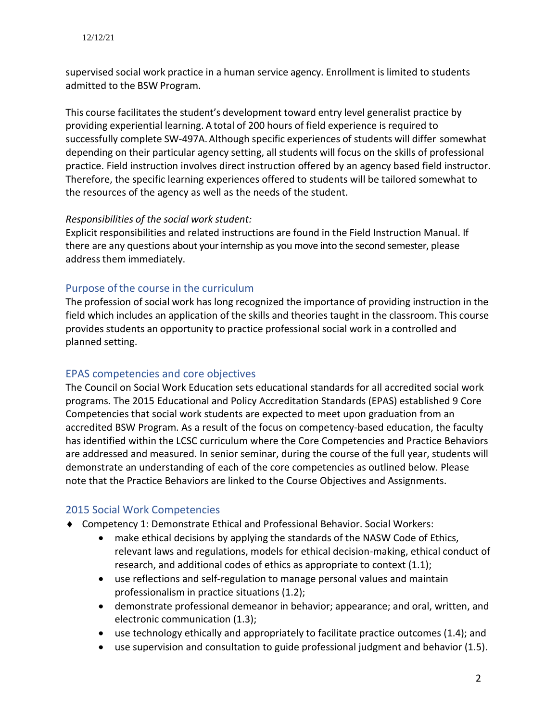supervised social work practice in a human service agency. Enrollment is limited to students admitted to the BSW Program.

This course facilitates the student's development toward entry level generalist practice by providing experiential learning. A total of 200 hours of field experience is required to successfully complete SW-497A.Although specific experiences of students will differ somewhat depending on their particular agency setting, all students will focus on the skills of professional practice. Field instruction involves direct instruction offered by an agency based field instructor. Therefore, the specific learning experiences offered to students will be tailored somewhat to the resources of the agency as well as the needs of the student.

#### *Responsibilities of the social work student:*

Explicit responsibilities and related instructions are found in the Field Instruction Manual. If there are any questions about your internship as you move into the second semester, please address them immediately.

## Purpose of the course in the curriculum

The profession of social work has long recognized the importance of providing instruction in the field which includes an application of the skills and theories taught in the classroom. This course provides students an opportunity to practice professional social work in a controlled and planned setting.

## EPAS competencies and core objectives

 The Council on Social Work Education sets educational standards for all accredited social work programs. The 2015 Educational and Policy Accreditation Standards (EPAS) established 9 Core Competencies that social work students are expected to meet upon graduation from an accredited BSW Program. As a result of the focus on competency-based education, the faculty has identified within the LCSC curriculum where the Core Competencies and Practice Behaviors are addressed and measured. In senior seminar, during the course of the full year, students will demonstrate an understanding of each of the core competencies as outlined below. Please note that the Practice Behaviors are linked to the Course Objectives and Assignments.

# 2015 Social Work Competencies

- Competency 1: Demonstrate Ethical and Professional Behavior. Social Workers:
	- make ethical decisions by applying the standards of the NASW Code of Ethics, relevant laws and regulations, models for ethical decision-making, ethical conduct of research, and additional codes of ethics as appropriate to context (1.1);
	- use reflections and self-regulation to manage personal values and maintain professionalism in practice situations (1.2);
	- demonstrate professional demeanor in behavior; appearance; and oral, written, and electronic communication (1.3);
	- use technology ethically and appropriately to facilitate practice outcomes (1.4); and
	- use supervision and consultation to guide professional judgment and behavior (1.5).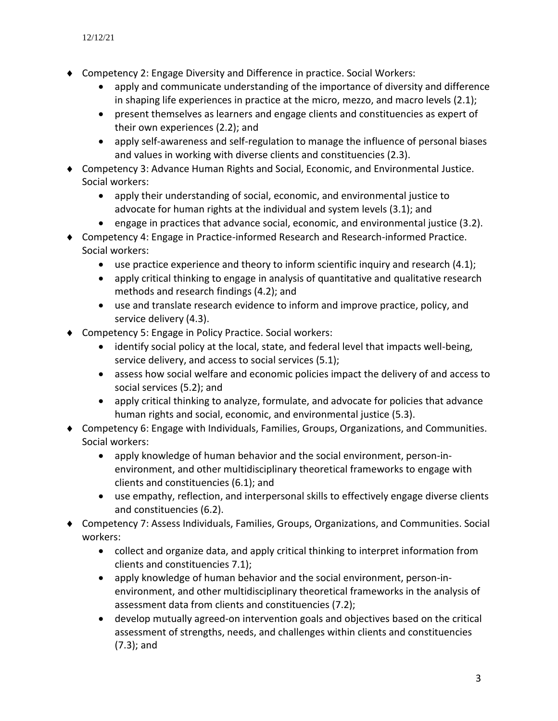- Competency 2: Engage Diversity and Difference in practice. Social Workers:
	- apply and communicate understanding of the importance of diversity and difference in shaping life experiences in practice at the micro, mezzo, and macro levels (2.1);
	- present themselves as learners and engage clients and constituencies as expert of their own experiences (2.2); and
	- apply self-awareness and self-regulation to manage the influence of personal biases and values in working with diverse clients and constituencies (2.3).
- Competency 3: Advance Human Rights and Social, Economic, and Environmental Justice. Social workers:
	- apply their understanding of social, economic, and environmental justice to advocate for human rights at the individual and system levels (3.1); and
	- engage in practices that advance social, economic, and environmental justice (3.2).
- Competency 4: Engage in Practice-informed Research and Research-informed Practice. Social workers:
	- use practice experience and theory to inform scientific inquiry and research  $(4.1)$ ;
	- apply critical thinking to engage in analysis of quantitative and qualitative research methods and research findings (4.2); and
	- use and translate research evidence to inform and improve practice, policy, and service delivery (4.3).
- ◆ Competency 5: Engage in Policy Practice. Social workers:
	- identify social policy at the local, state, and federal level that impacts well-being, service delivery, and access to social services (5.1);
	- assess how social welfare and economic policies impact the delivery of and access to social services (5.2); and
	- apply critical thinking to analyze, formulate, and advocate for policies that advance human rights and social, economic, and environmental justice (5.3).
- Competency 6: Engage with Individuals, Families, Groups, Organizations, and Communities. Social workers:
	- apply knowledge of human behavior and the social environment, person-inenvironment, and other multidisciplinary theoretical frameworks to engage with clients and constituencies (6.1); and
	- use empathy, reflection, and interpersonal skills to effectively engage diverse clients and constituencies (6.2).
- Competency 7: Assess Individuals, Families, Groups, Organizations, and Communities. Social workers:
	- collect and organize data, and apply critical thinking to interpret information from clients and constituencies 7.1);
	- apply knowledge of human behavior and the social environment, person-inenvironment, and other multidisciplinary theoretical frameworks in the analysis of assessment data from clients and constituencies (7.2);
	- develop mutually agreed-on intervention goals and objectives based on the critical assessment of strengths, needs, and challenges within clients and constituencies (7.3); and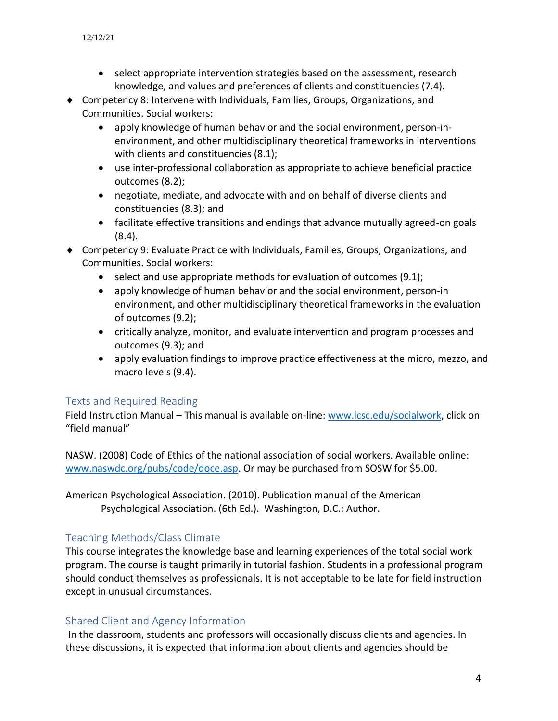- select appropriate intervention strategies based on the assessment, research knowledge, and values and preferences of clients and constituencies (7.4).
- Competency 8: Intervene with Individuals, Families, Groups, Organizations, and Communities. Social workers:
	- apply knowledge of human behavior and the social environment, person-inenvironment, and other multidisciplinary theoretical frameworks in interventions with clients and constituencies (8.1);
	- use inter-professional collaboration as appropriate to achieve beneficial practice outcomes (8.2);
	- negotiate, mediate, and advocate with and on behalf of diverse clients and constituencies (8.3); and
	- facilitate effective transitions and endings that advance mutually agreed-on goals (8.4).
- Competency 9: Evaluate Practice with Individuals, Families, Groups, Organizations, and Communities. Social workers:
	- select and use appropriate methods for evaluation of outcomes (9.1);
	- apply knowledge of human behavior and the social environment, person-in environment, and other multidisciplinary theoretical frameworks in the evaluation of outcomes (9.2);
	- critically analyze, monitor, and evaluate intervention and program processes and outcomes (9.3); and
	- apply evaluation findings to improve practice effectiveness at the micro, mezzo, and macro levels (9.4).

## Texts and Required Reading

Field Instruction Manual - This manual is available on-line: [www.lcsc.edu/socialwork,](http://www.lcsc.edu/socialwork) click on "field manual"

NASW. (2008) Code of Ethics of the national association of social workers. Available online: [www.naswdc.org/pubs/code/doce.asp.](http://www.naswdc.org/pubs/code/doce.asp) Or may be purchased from SOSW for \$5.00.

American Psychological Association. (2010). Publication manual of the American Psychological Association. (6th Ed.). Washington, D.C.: Author.

# Teaching Methods/Class Climate

This course integrates the knowledge base and learning experiences of the total social work program. The course is taught primarily in tutorial fashion. Students in a professional program should conduct themselves as professionals. It is not acceptable to be late for field instruction except in unusual circumstances.

## Shared Client and Agency Information

In the classroom, students and professors will occasionally discuss clients and agencies. In these discussions, it is expected that information about clients and agencies should be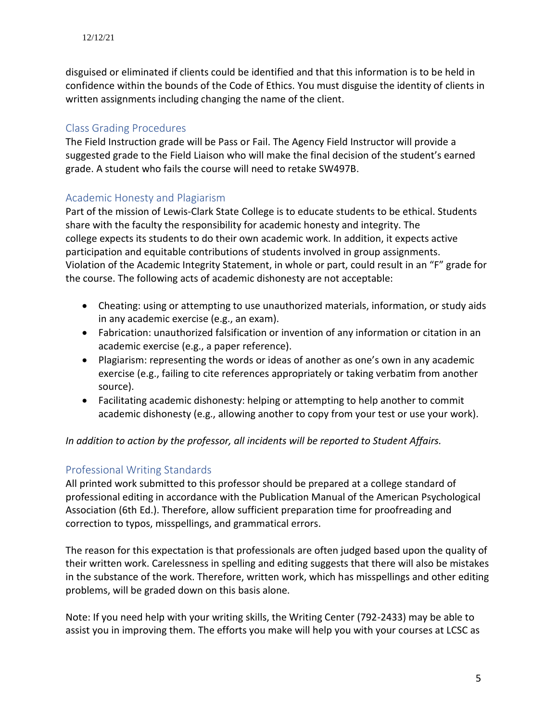disguised or eliminated if clients could be identified and that this information is to be held in confidence within the bounds of the Code of Ethics. You must disguise the identity of clients in written assignments including changing the name of the client.

## Class Grading Procedures

The Field Instruction grade will be Pass or Fail. The Agency Field Instructor will provide a suggested grade to the Field Liaison who will make the final decision of the student's earned grade. A student who fails the course will need to retake SW497B.

## Academic Honesty and Plagiarism

Part of the mission of Lewis-Clark State College is to educate students to be ethical. Students share with the faculty the responsibility for academic honesty and integrity. The college expects its students to do their own academic work. In addition, it expects active participation and equitable contributions of students involved in group assignments. Violation of the Academic Integrity Statement, in whole or part, could result in an "F" grade for the course. The following acts of academic dishonesty are not acceptable:

- Cheating: using or attempting to use unauthorized materials, information, or study aids in any academic exercise (e.g., an exam).
- Fabrication: unauthorized falsification or invention of any information or citation in an academic exercise (e.g., a paper reference).
- Plagiarism: representing the words or ideas of another as one's own in any academic exercise (e.g., failing to cite references appropriately or taking verbatim from another source).
- Facilitating academic dishonesty: helping or attempting to help another to commit academic dishonesty (e.g., allowing another to copy from your test or use your work).

*In addition to action by the professor, all incidents will be reported to Student Affairs.*

# Professional Writing Standards

All printed work submitted to this professor should be prepared at a college standard of professional editing in accordance with the Publication Manual of the American Psychological Association (6th Ed.). Therefore, allow sufficient preparation time for proofreading and correction to typos, misspellings, and grammatical errors.

The reason for this expectation is that professionals are often judged based upon the quality of their written work. Carelessness in spelling and editing suggests that there will also be mistakes in the substance of the work. Therefore, written work, which has misspellings and other editing problems, will be graded down on this basis alone.

Note: If you need help with your writing skills, the Writing Center (792-2433) may be able to assist you in improving them. The efforts you make will help you with your courses at LCSC as